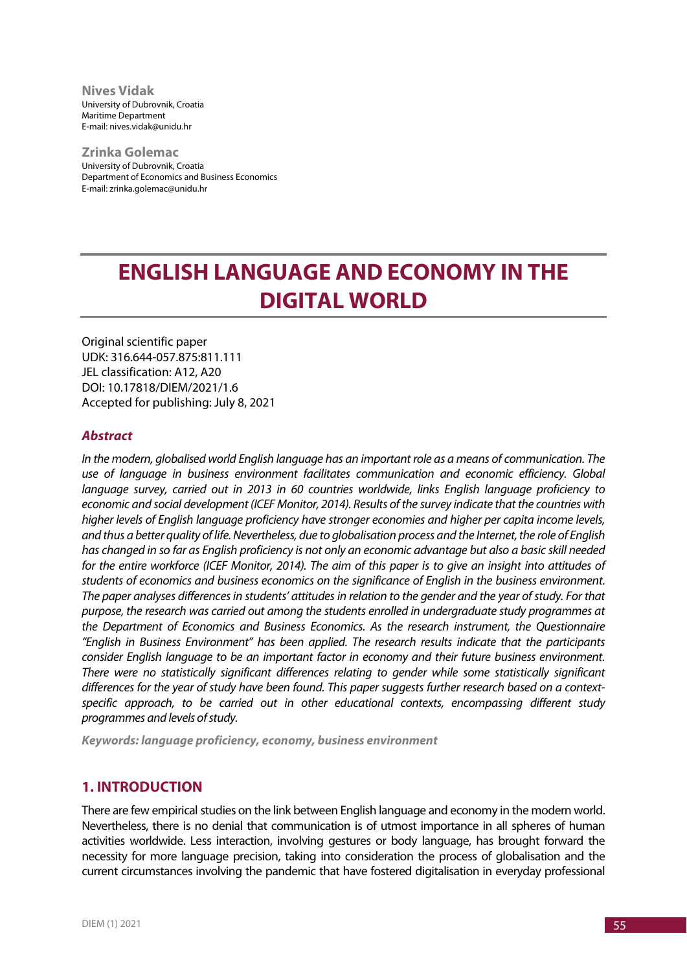**Nives Vidak** University of Dubrovnik, Croatia Maritime Department E-mail: nives.vidak@unidu.hr

**Zrinka Golemac** University of Dubrovnik, Croatia Department of Economics and Business Economics E-mail: zrinka.golemac@unidu.hr

# **ENGLISH LANGUAGE AND ECONOMY IN THE DIGITAL WORLD**

Original scientific paper UDK: 316.644-057.875:811.111 JEL classification: A12, A20 DOI: 10.17818/DIEM/2021/1.6 Accepted for publishing: July 8, 2021

#### *Abstract*

*In the modern, globalised world English language has an important role as a means of communication. The use of language in business environment facilitates communication and economic efficiency. Global language survey, carried out in 2013 in 60 countries worldwide, links English language proficiency to economic and social development (ICEF Monitor, 2014). Results of the survey indicate that the countries with higher levels of English language proficiency have stronger economies and higher per capita income levels, and thus a better quality of life. Nevertheless, due to globalisation process and the Internet, the role of English has changed in so far as English proficiency is not only an economic advantage but also a basic skill needed for the entire workforce (ICEF Monitor, 2014). The aim of this paper is to give an insight into attitudes of students of economics and business economics on the significance of English in the business environment. The paper analyses differences in students' attitudes in relation to the gender and the year of study. For that purpose, the research was carried out among the students enrolled in undergraduate study programmes at the Department of Economics and Business Economics. As the research instrument, the Questionnaire "English in Business Environment" has been applied. The research results indicate that the participants consider English language to be an important factor in economy and their future business environment. There were no statistically significant differences relating to gender while some statistically significant differences for the year of study have been found. This paper suggests further research based on a contextspecific approach, to be carried out in other educational contexts, encompassing different study programmes and levels of study.*

*Keywords: language proficiency, economy, business environment*

## **1. INTRODUCTION**

There are few empirical studies on the link between English language and economy in the modern world. Nevertheless, there is no denial that communication is of utmost importance in all spheres of human activities worldwide. Less interaction, involving gestures or body language, has brought forward the necessity for more language precision, taking into consideration the process of globalisation and the current circumstances involving the pandemic that have fostered digitalisation in everyday professional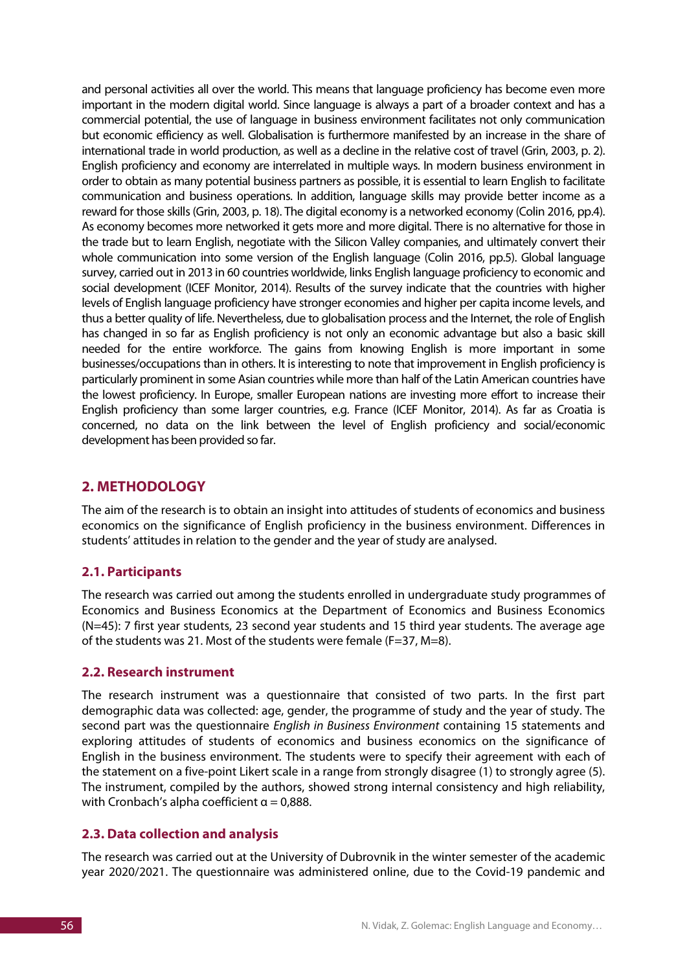and personal activities all over the world. This means that language proficiency has become even more important in the modern digital world. Since language is always a part of a broader context and has a commercial potential, the use of language in business environment facilitates not only communication but economic efficiency as well. Globalisation is furthermore manifested by an increase in the share of international trade in world production, as well as a decline in the relative cost of travel (Grin, 2003, p. 2). English proficiency and economy are interrelated in multiple ways. In modern business environment in order to obtain as many potential business partners as possible, it is essential to learn English to facilitate communication and business operations. In addition, language skills may provide better income as a reward for those skills (Grin, 2003, p. 18). The digital economy is a networked economy (Colin 2016, pp.4). As economy becomes more networked it gets more and more digital. There is no alternative for those in the trade but to learn English, negotiate with the Silicon Valley companies, and ultimately convert their whole communication into some version of the English language (Colin 2016, pp.5). Global language survey, carried out in 2013 in 60 countries worldwide, links English language proficiency to economic and social development (ICEF Monitor, 2014). Results of the survey indicate that the countries with higher levels of English language proficiency have stronger economies and higher per capita income levels, and thus a better quality of life. Nevertheless, due to globalisation process and the Internet, the role of English has changed in so far as English proficiency is not only an economic advantage but also a basic skill needed for the entire workforce. The gains from knowing English is more important in some businesses/occupations than in others. It is interesting to note that improvement in English proficiency is particularly prominent in some Asian countries while more than half of the Latin American countries have the lowest proficiency. In Europe, smaller European nations are investing more effort to increase their English proficiency than some larger countries, e.g. France (ICEF Monitor, 2014). As far as Croatia is concerned, no data on the link between the level of English proficiency and social/economic development has been provided so far.

## **2. METHODOLOGY**

The aim of the research is to obtain an insight into attitudes of students of economics and business economics on the significance of English proficiency in the business environment. Differences in students' attitudes in relation to the gender and the year of study are analysed.

## **2.1. Participants**

The research was carried out among the students enrolled in undergraduate study programmes of Economics and Business Economics at the Department of Economics and Business Economics (N=45): 7 first year students, 23 second year students and 15 third year students. The average age of the students was 21. Most of the students were female (F=37, M=8).

## **2.2. Research instrument**

The research instrument was a questionnaire that consisted of two parts. In the first part demographic data was collected: age, gender, the programme of study and the year of study. The second part was the questionnaire *English in Business Environment* containing 15 statements and exploring attitudes of students of economics and business economics on the significance of English in the business environment. The students were to specify their agreement with each of the statement on a five-point Likert scale in a range from strongly disagree (1) to strongly agree (5). The instrument, compiled by the authors, showed strong internal consistency and high reliability, with Cronbach's alpha coefficient  $\alpha = 0.888$ .

## **2.3. Data collection and analysis**

The research was carried out at the University of Dubrovnik in the winter semester of the academic year 2020/2021. The questionnaire was administered online, due to the Covid-19 pandemic and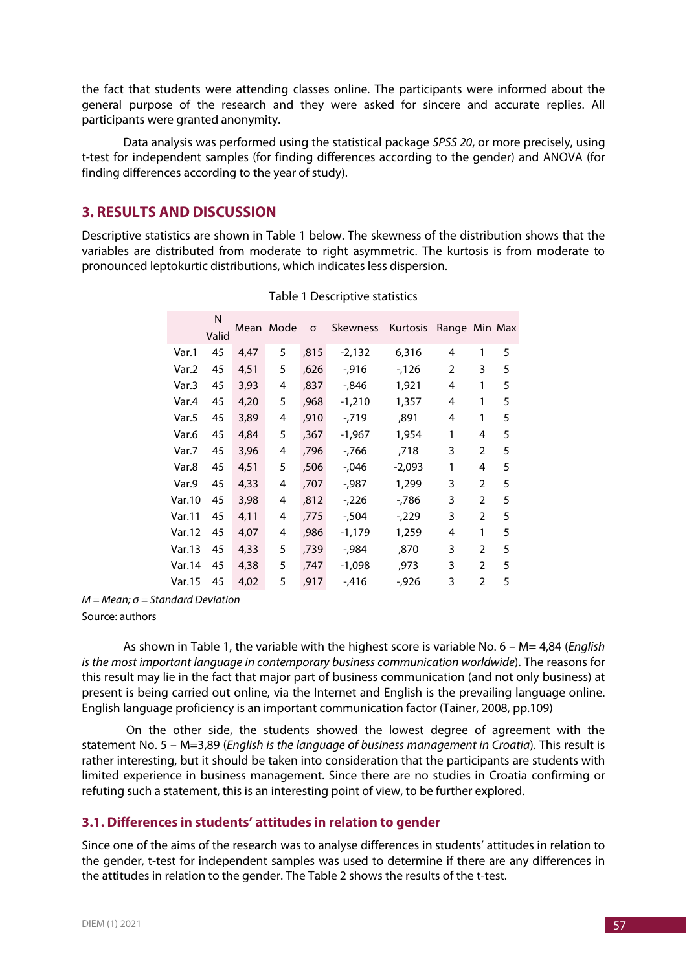the fact that students were attending classes online. The participants were informed about the general purpose of the research and they were asked for sincere and accurate replies. All participants were granted anonymity.

Data analysis was performed using the statistical package *SPSS 20*, or more precisely, using t-test for independent samples (for finding differences according to the gender) and ANOVA (for finding differences according to the year of study).

## **3. RESULTS AND DISCUSSION**

Descriptive statistics are shown in Table 1 below. The skewness of the distribution shows that the variables are distributed from moderate to right asymmetric. The kurtosis is from moderate to pronounced leptokurtic distributions, which indicates less dispersion.

|        | N<br>Valid |      | Mean Mode | σ    | Skewness | Kurtosis | Range Min Max |                |   |
|--------|------------|------|-----------|------|----------|----------|---------------|----------------|---|
| Var.1  | 45         | 4,47 | 5         | ,815 | $-2,132$ | 6,316    | 4             | 1              | 5 |
| Var.2  | 45         | 4,51 | 5         | ,626 | $-0.916$ | $-126$   | 2             | 3              | 5 |
| Var.3  | 45         | 3,93 | 4         | ,837 | -,846    | 1,921    | 4             | 1              | 5 |
| Var.4  | 45         | 4,20 | 5         | ,968 | $-1,210$ | 1,357    | 4             | 1              | 5 |
| Var.5  | 45         | 3,89 | 4         | ,910 | $-719$   | ,891     | 4             | 1              | 5 |
| Var.6  | 45         | 4,84 | 5         | ,367 | -1,967   | 1,954    | 1             | 4              | 5 |
| Var.7  | 45         | 3,96 | 4         | ,796 | -,766    | ,718     | 3             | 2              | 5 |
| Var.8  | 45         | 4,51 | 5         | ,506 | $-0.046$ | $-2,093$ | 1             | 4              | 5 |
| Var.9  | 45         | 4,33 | 4         | ,707 | -,987    | 1,299    | 3             | $\overline{2}$ | 5 |
| Var.10 | 45         | 3,98 | 4         | ,812 | $-226$   | -,786    | 3             | $\overline{2}$ | 5 |
| Var.11 | 45         | 4,11 | 4         | ,775 | $-0.504$ | $-229$   | 3             | 2              | 5 |
| Var.12 | 45         | 4,07 | 4         | ,986 | -1,179   | 1,259    | 4             | 1              | 5 |
| Var.13 | 45         | 4,33 | 5         | ,739 | -,984    | ,870     | 3             | 2              | 5 |
| Var.14 | 45         | 4,38 | 5         | ,747 | -1,098   | ,973     | 3             | $\overline{2}$ | 5 |
| Var.15 | 45         | 4,02 | 5         | ,917 | $-0.416$ | $-0.926$ | 3             | 2              | 5 |

|  | Table 1 Descriptive statistics |  |
|--|--------------------------------|--|
|--|--------------------------------|--|

*M = Mean; σ = Standard Deviation*

Source: authors

As shown in Table 1, the variable with the highest score is variable No. 6 – M= 4,84 (*English is the most important language in contemporary business communication worldwide*). The reasons for this result may lie in the fact that major part of business communication (and not only business) at present is being carried out online, via the Internet and English is the prevailing language online. English language proficiency is an important communication factor (Tainer, 2008, pp.109)

On the other side, the students showed the lowest degree of agreement with the statement No. 5 – M=3,89 (*English is the language of business management in Croatia*). This result is rather interesting, but it should be taken into consideration that the participants are students with limited experience in business management. Since there are no studies in Croatia confirming or refuting such a statement, this is an interesting point of view, to be further explored.

## **3.1. Differences in students' attitudes in relation to gender**

Since one of the aims of the research was to analyse differences in students' attitudes in relation to the gender, t-test for independent samples was used to determine if there are any differences in the attitudes in relation to the gender. The Table 2 shows the results of the t-test.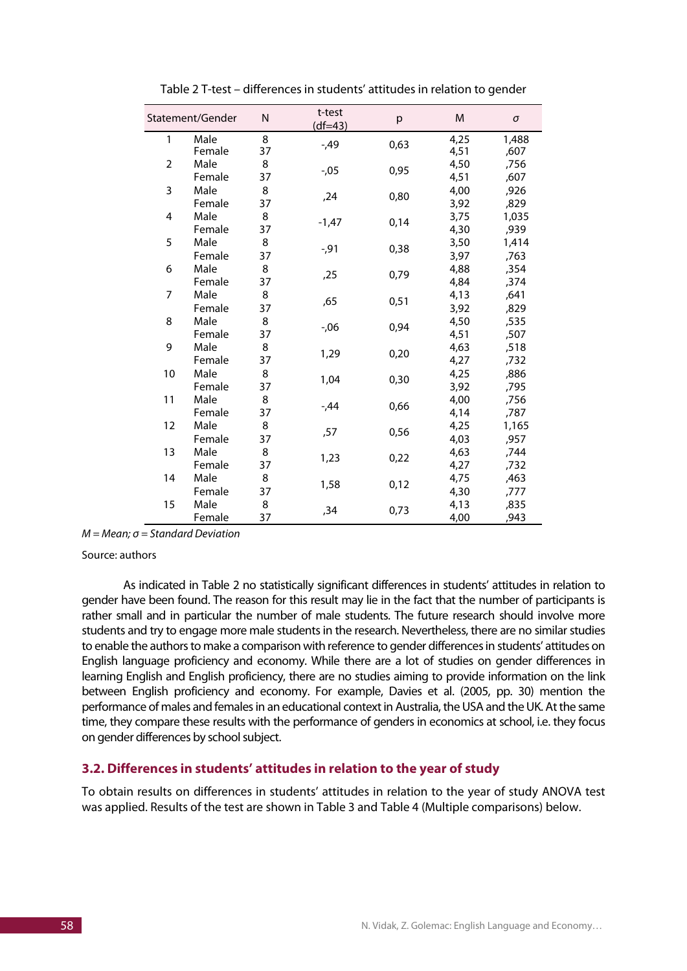| Statement/Gender |                | N       | t-test<br>$(df=43)$ | p    | M            | σ             |
|------------------|----------------|---------|---------------------|------|--------------|---------------|
| 1                | Male<br>Female | 8<br>37 | $-49$               | 0,63 | 4,25<br>4,51 | 1,488<br>,607 |
| 2                | Male           | 8       | $-0.05$             | 0,95 | 4,50         | ,756          |
| 3                | Female<br>Male | 37<br>8 |                     |      | 4,51<br>4,00 | ,607<br>,926  |
|                  | Female         | 37      | ,24                 | 0,80 | 3,92         | ,829          |
| 4                | Male<br>Female | 8<br>37 | $-1,47$             | 0,14 | 3,75<br>4,30 | 1,035<br>,939 |
| 5                | Male<br>Female | 8<br>37 | $-0.91$             | 0,38 | 3,50<br>3,97 | 1,414<br>,763 |
| 6                | Male<br>Female | 8<br>37 | ,25                 | 0,79 | 4,88<br>4,84 | ,354<br>,374  |
| 7                | Male           | 8       | ,65                 | 0,51 | 4,13         | ,641          |
| 8                | Female<br>Male | 37<br>8 | $-0,06$             | 0,94 | 3,92<br>4,50 | ,829<br>,535  |
| 9                | Female<br>Male | 37<br>8 |                     |      | 4,51<br>4,63 | ,507<br>,518  |
|                  | Female         | 37      | 1,29                | 0,20 | 4,27         | ,732          |
| 10               | Male<br>Female | 8<br>37 | 1,04                | 0,30 | 4,25<br>3,92 | ,886<br>,795  |
| 11               | Male<br>Female | 8<br>37 | -,44                | 0,66 | 4,00<br>4,14 | ,756<br>,787  |
| 12               | Male           | 8       | ,57                 | 0,56 | 4,25         | 1,165         |
| 13               | Female<br>Male | 37<br>8 |                     |      | 4,03<br>4,63 | ,957<br>,744  |
|                  | Female         | 37      | 1,23                | 0,22 | 4,27         | ,732          |
| 14               | Male<br>Female | 8<br>37 | 1,58                | 0,12 | 4,75<br>4,30 | ,463<br>,777  |
| 15               | Male<br>Female | 8<br>37 | ,34                 | 0,73 | 4,13<br>4,00 | ,835<br>,943  |

Table 2 T-test – differences in students' attitudes in relation to gender

*M = Mean; σ = Standard Deviation*

Source: authors

As indicated in Table 2 no statistically significant differences in students' attitudes in relation to gender have been found. The reason for this result may lie in the fact that the number of participants is rather small and in particular the number of male students. The future research should involve more students and try to engage more male students in the research. Nevertheless, there are no similar studies to enable the authors to make a comparison with reference to gender differences in students' attitudes on English language proficiency and economy. While there are a lot of studies on gender differences in learning English and English proficiency, there are no studies aiming to provide information on the link between English proficiency and economy. For example, Davies et al. (2005, pp. 30) mention the performance of males and females in an educational context in Australia, the USA and the UK. At the same time, they compare these results with the performance of genders in economics at school, i.e. they focus on gender differences by school subject.

#### **3.2. Differences in students' attitudes in relation to the year of study**

To obtain results on differences in students' attitudes in relation to the year of study ANOVA test was applied. Results of the test are shown in Table 3 and Table 4 (Multiple comparisons) below.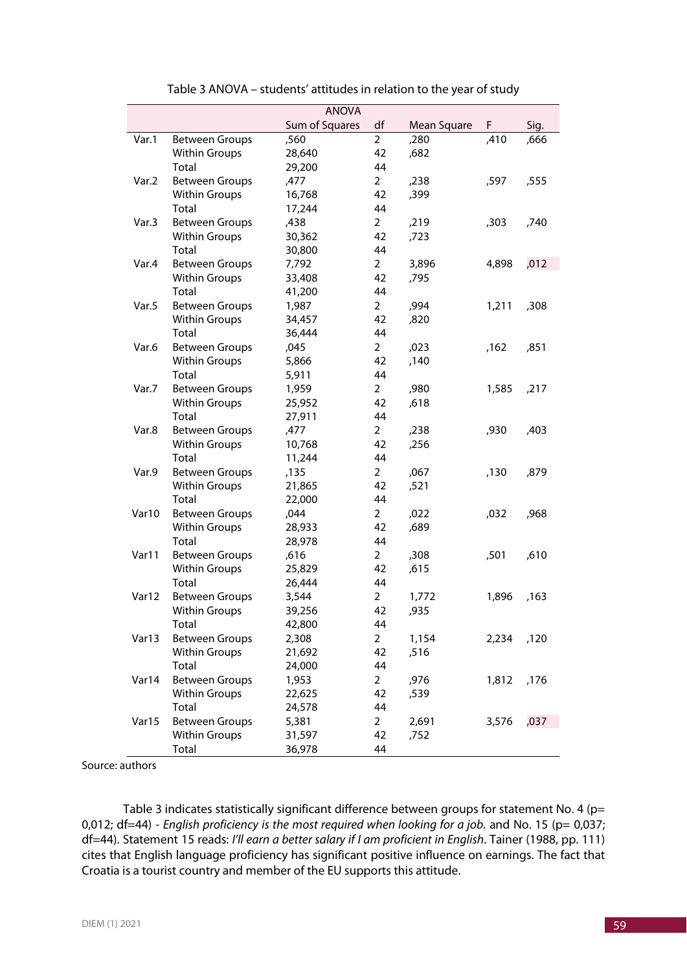| <b>ANOVA</b> |                       |                |                |             |       |      |  |
|--------------|-----------------------|----------------|----------------|-------------|-------|------|--|
|              |                       | Sum of Squares | df             | Mean Square | F.    | Sig. |  |
| Var.1        | <b>Between Groups</b> | ,560           | $\overline{2}$ | ,280        | ,410  | ,666 |  |
|              | <b>Within Groups</b>  | 28,640         | 42             | ,682        |       |      |  |
|              | Total                 | 29,200         | 44             |             |       |      |  |
| Var.2        | <b>Between Groups</b> | ,477           | $\overline{2}$ | ,238        | ,597  | ,555 |  |
|              | <b>Within Groups</b>  | 16,768         | 42             | ,399        |       |      |  |
|              | Total                 | 17,244         | 44             |             |       |      |  |
| Var.3        | <b>Between Groups</b> | ,438           | $\overline{2}$ | ,219        | ,303  | ,740 |  |
|              | <b>Within Groups</b>  | 30,362         | 42             | ,723        |       |      |  |
|              | Total                 | 30,800         | 44             |             |       |      |  |
| Var.4        | <b>Between Groups</b> | 7,792          | $\overline{2}$ | 3,896       | 4,898 | ,012 |  |
|              | <b>Within Groups</b>  | 33,408         | 42             | ,795        |       |      |  |
|              | Total                 | 41,200         | 44             |             |       |      |  |
| Var.5        | <b>Between Groups</b> | 1,987          | $\overline{2}$ | ,994        | 1,211 | ,308 |  |
|              | <b>Within Groups</b>  | 34,457         | 42             | ,820        |       |      |  |
|              | Total                 | 36,444         | 44             |             |       |      |  |
| Var.6        | <b>Between Groups</b> | ,045           | $\overline{2}$ | ,023        | ,162  | ,851 |  |
|              | <b>Within Groups</b>  | 5,866          | 42             | ,140        |       |      |  |
|              | Total                 | 5,911          | 44             |             |       |      |  |
| Var.7        | <b>Between Groups</b> | 1,959          | $\overline{2}$ | ,980        | 1,585 | ,217 |  |
|              | <b>Within Groups</b>  | 25,952         | 42             | ,618        |       |      |  |
|              | Total                 | 27,911         | 44             |             |       |      |  |
| Var.8        | <b>Between Groups</b> | ,477           | $\overline{2}$ | ,238        | ,930  | ,403 |  |
|              | <b>Within Groups</b>  | 10,768         | 42             | ,256        |       |      |  |
|              | Total                 | 11,244         | 44             |             |       |      |  |
| Var.9        | <b>Between Groups</b> | ,135           | $\overline{2}$ | ,067        | ,130  | ,879 |  |
|              | <b>Within Groups</b>  | 21,865         | 42             | ,521        |       |      |  |
|              | Total                 | 22,000         | 44             |             |       |      |  |
| Var10        | <b>Between Groups</b> | ,044           | $\overline{2}$ | ,022        | ,032  | ,968 |  |
|              | <b>Within Groups</b>  | 28,933         | 42             | ,689        |       |      |  |
|              | Total                 | 28,978         | 44             |             |       |      |  |
| Var11        | <b>Between Groups</b> | ,616           | $\overline{2}$ | ,308        | ,501  | ,610 |  |
|              | <b>Within Groups</b>  | 25,829         | 42             | ,615        |       |      |  |
|              | Total                 | 26,444         | 44             |             |       |      |  |
| Var12        | <b>Between Groups</b> | 3,544          | $\overline{2}$ | 1,772       | 1,896 | ,163 |  |
|              | <b>Within Groups</b>  | 39,256         | 42             | ,935        |       |      |  |
|              | Total                 | 42,800         | 44             |             |       |      |  |
| Var13        | <b>Between Groups</b> | 2,308          | $\overline{2}$ | 1,154       | 2,234 | ,120 |  |
|              | <b>Within Groups</b>  | 21,692         | 42             | ,516        |       |      |  |
|              | Total                 | 24,000         | 44             |             |       |      |  |
| Var14        | <b>Between Groups</b> | 1,953          | $\overline{2}$ | ,976        | 1,812 | ,176 |  |
|              | <b>Within Groups</b>  | 22,625         | 42             | ,539        |       |      |  |
|              | Total                 | 24,578         | 44             |             |       |      |  |
| Var15        | <b>Between Groups</b> | 5,381          | $\overline{a}$ | 2,691       | 3,576 | ,037 |  |
|              | <b>Within Groups</b>  | 31,597         | 42             | ,752        |       |      |  |
|              | Total                 | 36,978         | 44             |             |       |      |  |

| Table 3 ANOVA - students' attitudes in relation to the year of study |  |  |  |
|----------------------------------------------------------------------|--|--|--|
|----------------------------------------------------------------------|--|--|--|

Source: authors

Table 3 indicates statistically significant difference between groups for statement No. 4 (p= 0,012; df=44) - *English proficiency is the most required when looking for a job.* and No. 15 (p= 0,037; df=44). Statement 15 reads: *I'll earn a better salary if I am proficient in English*. Tainer (1988, pp. 111) cites that English language proficiency has significant positive influence on earnings. The fact that Croatia is a tourist country and member of the EU supports this attitude.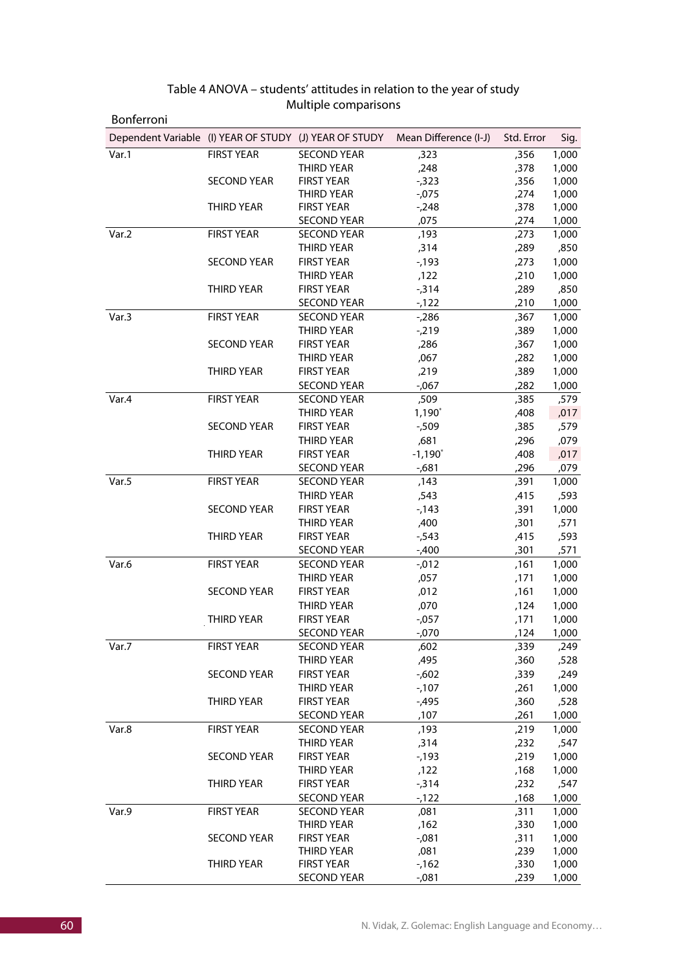| Bonferroni                                             |                    |                                 |                       |              |                |
|--------------------------------------------------------|--------------------|---------------------------------|-----------------------|--------------|----------------|
| Dependent Variable (I) YEAR OF STUDY (J) YEAR OF STUDY |                    |                                 | Mean Difference (I-J) | Std. Error   | Sig.           |
| Var.1                                                  | <b>FIRST YEAR</b>  | <b>SECOND YEAR</b>              | ,323                  | ,356         | 1,000          |
|                                                        |                    | THIRD YEAR                      | ,248                  | ,378         | 1,000          |
|                                                        | <b>SECOND YEAR</b> | <b>FIRST YEAR</b>               | $-0.323$              | ,356         | 1,000          |
|                                                        |                    | THIRD YEAR                      | $-0.075$              | ,274         | 1,000          |
|                                                        | <b>THIRD YEAR</b>  | <b>FIRST YEAR</b>               | $-248$                | ,378         | 1,000          |
|                                                        |                    | <b>SECOND YEAR</b>              | ,075                  | ,274         | 1,000          |
| Var.2                                                  | <b>FIRST YEAR</b>  | <b>SECOND YEAR</b>              | ,193                  | ,273         | 1,000          |
|                                                        |                    | THIRD YEAR                      | ,314                  | ,289         | ,850           |
|                                                        | <b>SECOND YEAR</b> | <b>FIRST YEAR</b>               | $-193$                | ,273         | 1,000          |
|                                                        |                    | <b>THIRD YEAR</b>               | ,122                  | ,210         | 1,000          |
|                                                        | <b>THIRD YEAR</b>  | <b>FIRST YEAR</b>               | $-0.314$              | ,289         | ,850           |
|                                                        |                    | <b>SECOND YEAR</b>              | $-122$                | ,210         | 1,000          |
| Var.3                                                  | <b>FIRST YEAR</b>  | <b>SECOND YEAR</b>              | $-286$                | ,367         | 1,000          |
|                                                        |                    | <b>THIRD YEAR</b>               | $-219$                | ,389         | 1,000          |
|                                                        | <b>SECOND YEAR</b> | <b>FIRST YEAR</b>               | ,286                  | ,367         | 1,000          |
|                                                        |                    | <b>THIRD YEAR</b>               | ,067                  | ,282         | 1,000          |
|                                                        | <b>THIRD YEAR</b>  | <b>FIRST YEAR</b>               | ,219                  | ,389         | 1,000          |
|                                                        |                    | <b>SECOND YEAR</b>              | $-0.067$              | ,282         | 1,000          |
| Var.4                                                  | <b>FIRST YEAR</b>  | <b>SECOND YEAR</b>              | ,509                  | ,385         | ,579           |
|                                                        |                    | <b>THIRD YEAR</b>               | $1,190^*$             | ,408         | ,017           |
|                                                        | <b>SECOND YEAR</b> | <b>FIRST YEAR</b>               | -,509                 | ,385         | ,579           |
|                                                        |                    | <b>THIRD YEAR</b>               | ,681                  | ,296         | ,079           |
|                                                        | <b>THIRD YEAR</b>  | <b>FIRST YEAR</b>               | $-1,190^*$            | ,408         | ,017           |
|                                                        |                    | <b>SECOND YEAR</b>              | -,681                 | ,296         | ,079           |
| Var.5                                                  | <b>FIRST YEAR</b>  | <b>SECOND YEAR</b>              | ,143                  | ,391         | 1,000          |
|                                                        |                    | <b>THIRD YEAR</b>               | ,543                  | ,415         | ,593           |
|                                                        | <b>SECOND YEAR</b> | <b>FIRST YEAR</b>               | -,143                 | ,391         | 1,000          |
|                                                        |                    | THIRD YEAR                      | ,400                  | ,301         | ,571           |
|                                                        | <b>THIRD YEAR</b>  | <b>FIRST YEAR</b>               | $-543$                | ,415         | ,593           |
|                                                        |                    | <b>SECOND YEAR</b>              | $-0.400$              | ,301         | ,571           |
| Var.6                                                  | <b>FIRST YEAR</b>  | <b>SECOND YEAR</b>              | $-0.012$              | ,161         | 1,000          |
|                                                        |                    | THIRD YEAR                      | ,057                  | ,171         | 1,000          |
|                                                        | <b>SECOND YEAR</b> | <b>FIRST YEAR</b>               | ,012                  | ,161         | 1,000          |
|                                                        |                    | <b>THIRD YEAR</b>               | ,070                  | ,124         | 1,000          |
|                                                        | <b>THIRD YEAR</b>  | <b>FIRST YEAR</b>               | $-0.057$              | ,171         | 1,000          |
|                                                        |                    | <b>SECOND YEAR</b>              | $-0.070$              | ,124         | 1,000          |
| Var.7                                                  | <b>FIRST YEAR</b>  | <b>SECOND YEAR</b>              | ,602                  | ,339         | 249,           |
|                                                        |                    | THIRD YEAR                      | ,495                  | ,360         | ,528           |
|                                                        | <b>SECOND YEAR</b> | <b>FIRST YEAR</b>               | $-602$                | ,339         | ,249           |
|                                                        |                    | THIRD YEAR                      | $-107$                | ,261         | 1,000          |
|                                                        | <b>THIRD YEAR</b>  | <b>FIRST YEAR</b>               | $-495$                | ,360         | ,528           |
|                                                        |                    | <b>SECOND YEAR</b>              | ,107                  | ,261         | 1,000          |
| Var.8                                                  | <b>FIRST YEAR</b>  | <b>SECOND YEAR</b>              | ,193                  | ,219         | 1,000          |
|                                                        |                    | THIRD YEAR                      | ,314                  | ,232         | ,547           |
|                                                        | <b>SECOND YEAR</b> | <b>FIRST YEAR</b>               | $-193$                | ,219         | 1,000          |
|                                                        |                    | THIRD YEAR                      | ,122                  | ,168         | 1,000          |
|                                                        | THIRD YEAR         | <b>FIRST YEAR</b>               | $-0.314$              | ,232         | ,547           |
|                                                        |                    | <b>SECOND YEAR</b>              | $-122$                | ,168         | 1,000          |
| Var.9                                                  | <b>FIRST YEAR</b>  | <b>SECOND YEAR</b>              | ,081                  | ,311         | 1,000          |
|                                                        |                    | THIRD YEAR                      | ,162                  | ,330         | 1,000          |
|                                                        | <b>SECOND YEAR</b> | <b>FIRST YEAR</b><br>THIRD YEAR | $-0.081$<br>,081      | ,311         | 1,000<br>1,000 |
|                                                        | THIRD YEAR         | <b>FIRST YEAR</b>               | $-162$                | ,239<br>,330 | 1,000          |
|                                                        |                    | <b>SECOND YEAR</b>              | $-0.081$              | ,239         | 1,000          |

## Table 4 ANOVA – students' attitudes in relation to the year of study Multiple comparisons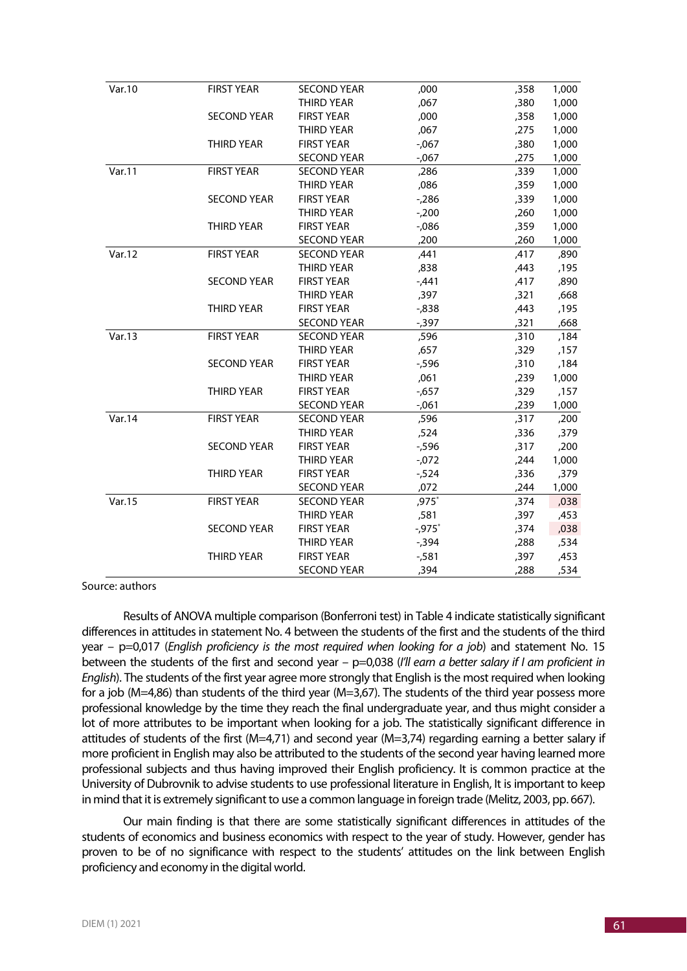| Var.10 | <b>FIRST YEAR</b>  | <b>SECOND YEAR</b> | ,000     | ,358 | 1,000 |
|--------|--------------------|--------------------|----------|------|-------|
|        |                    | <b>THIRD YEAR</b>  | ,067     | ,380 | 1,000 |
|        | <b>SECOND YEAR</b> | <b>FIRST YEAR</b>  | ,000     | ,358 | 1,000 |
|        |                    | <b>THIRD YEAR</b>  | ,067     | ,275 | 1,000 |
|        | <b>THIRD YEAR</b>  | <b>FIRST YEAR</b>  | $-0.067$ | ,380 | 1,000 |
|        |                    | <b>SECOND YEAR</b> | $-0.067$ | ,275 | 1,000 |
| Var.11 | <b>FIRST YEAR</b>  | <b>SECOND YEAR</b> | ,286     | ,339 | 1,000 |
|        |                    | <b>THIRD YEAR</b>  | ,086     | ,359 | 1,000 |
|        | <b>SECOND YEAR</b> | <b>FIRST YEAR</b>  | $-286$   | ,339 | 1,000 |
|        |                    | <b>THIRD YEAR</b>  | $-200$   | ,260 | 1,000 |
|        | <b>THIRD YEAR</b>  | <b>FIRST YEAR</b>  | $-0.086$ | ,359 | 1,000 |
|        |                    | <b>SECOND YEAR</b> | ,200     | ,260 | 1,000 |
| Var.12 | <b>FIRST YEAR</b>  | <b>SECOND YEAR</b> | 441,     | ,417 | ,890  |
|        |                    | <b>THIRD YEAR</b>  | ,838     | ,443 | ,195  |
|        | <b>SECOND YEAR</b> | <b>FIRST YEAR</b>  | $-0.441$ | ,417 | ,890  |
|        |                    | THIRD YEAR         | ,397     | ,321 | ,668  |
|        | <b>THIRD YEAR</b>  | <b>FIRST YEAR</b>  | $-0.838$ | ,443 | ,195  |
|        |                    | <b>SECOND YEAR</b> | $-0.397$ | ,321 | ,668  |
| Var.13 | <b>FIRST YEAR</b>  | <b>SECOND YEAR</b> | ,596     | ,310 | ,184  |
|        |                    | <b>THIRD YEAR</b>  | ,657     | ,329 | ,157  |
|        | <b>SECOND YEAR</b> | <b>FIRST YEAR</b>  | $-0.596$ | ,310 | ,184  |
|        |                    | <b>THIRD YEAR</b>  | ,061     | ,239 | 1,000 |
|        | <b>THIRD YEAR</b>  | <b>FIRST YEAR</b>  | $-657$   | ,329 | ,157  |
|        |                    | <b>SECOND YEAR</b> | $-0.061$ | ,239 | 1,000 |
| Var.14 | <b>FIRST YEAR</b>  | <b>SECOND YEAR</b> | ,596     | ,317 | ,200  |
|        |                    | <b>THIRD YEAR</b>  | ,524     | ,336 | ,379  |
|        | <b>SECOND YEAR</b> | <b>FIRST YEAR</b>  | $-596$   | ,317 | ,200  |
|        |                    | <b>THIRD YEAR</b>  | $-072$   | ,244 | 1,000 |
|        | <b>THIRD YEAR</b>  | <b>FIRST YEAR</b>  | $-524$   | ,336 | ,379  |
|        |                    | <b>SECOND YEAR</b> | ,072     | ,244 | 1,000 |
| Var.15 | <b>FIRST YEAR</b>  | <b>SECOND YEAR</b> | $,975*$  | ,374 | ,038  |
|        |                    | <b>THIRD YEAR</b>  | ,581     | ,397 | ,453  |
|        | <b>SECOND YEAR</b> | <b>FIRST YEAR</b>  | $-0.975$ | ,374 | ,038  |
|        |                    | <b>THIRD YEAR</b>  | $-0.394$ | ,288 | ,534  |
|        | <b>THIRD YEAR</b>  | <b>FIRST YEAR</b>  | $-581$   | ,397 | ,453  |
|        |                    | <b>SECOND YEAR</b> | ,394     | ,288 | ,534  |

Source: authors

Results of ANOVA multiple comparison (Bonferroni test) in Table 4 indicate statistically significant differences in attitudes in statement No. 4 between the students of the first and the students of the third year – p=0,017 (*English proficiency is the most required when looking for a job*) and statement No. 15 between the students of the first and second year – p=0,038 (*I'll earn a better salary if I am proficient in English*). The students of the first year agree more strongly that English is the most required when looking for a job (M=4,86) than students of the third year (M=3,67). The students of the third year possess more professional knowledge by the time they reach the final undergraduate year, and thus might consider a lot of more attributes to be important when looking for a job. The statistically significant difference in attitudes of students of the first (M=4,71) and second year (M=3,74) regarding earning a better salary if more proficient in English may also be attributed to the students of the second year having learned more professional subjects and thus having improved their English proficiency. It is common practice at the University of Dubrovnik to advise students to use professional literature in English, It is important to keep in mind that it is extremely significant to use a common language in foreign trade (Melitz, 2003, pp. 667).

Our main finding is that there are some statistically significant differences in attitudes of the students of economics and business economics with respect to the year of study. However, gender has proven to be of no significance with respect to the students' attitudes on the link between English proficiency and economy in the digital world.